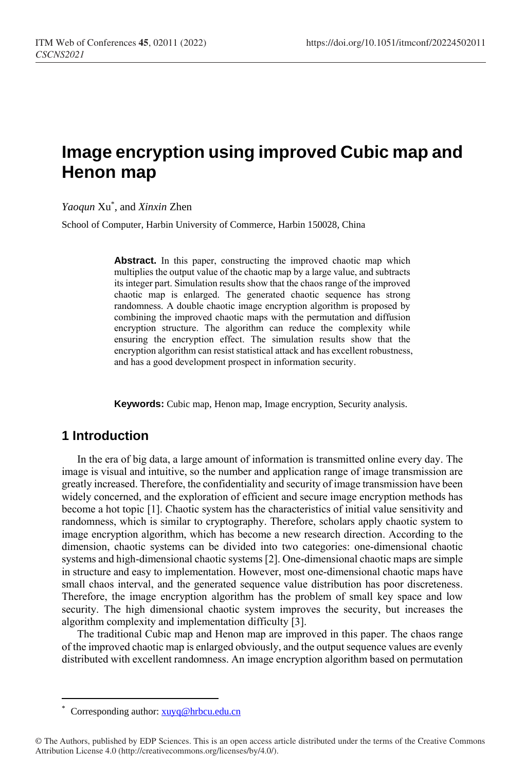# **Image encryption using improved Cubic map and Henon map**

*Yaoqun* Xu\* , and *Xinxin* Zhen

School of Computer, Harbin University of Commerce, Harbin 150028, China

**Abstract.** In this paper, constructing the improved chaotic map which multiplies the output value of the chaotic map by a large value, and subtracts its integer part. Simulation results show that the chaos range of the improved chaotic map is enlarged. The generated chaotic sequence has strong randomness. A double chaotic image encryption algorithm is proposed by combining the improved chaotic maps with the permutation and diffusion encryption structure. The algorithm can reduce the complexity while ensuring the encryption effect. The simulation results show that the encryption algorithm can resist statistical attack and has excellent robustness, and has a good development prospect in information security.

**Keywords:** Cubic map, Henon map, Image encryption, Security analysis.

### **1 Introduction**

In the era of big data, a large amount of information is transmitted online every day. The image is visual and intuitive, so the number and application range of image transmission are greatly increased. Therefore, the confidentiality and security of image transmission have been widely concerned, and the exploration of efficient and secure image encryption methods has become a hot topic [1]. Chaotic system has the characteristics of initial value sensitivity and randomness, which is similar to cryptography. Therefore, scholars apply chaotic system to image encryption algorithm, which has become a new research direction. According to the dimension, chaotic systems can be divided into two categories: one-dimensional chaotic systems and high-dimensional chaotic systems [2]. One-dimensional chaotic maps are simple in structure and easy to implementation. However, most one-dimensional chaotic maps have small chaos interval, and the generated sequence value distribution has poor discreteness. Therefore, the image encryption algorithm has the problem of small key space and low security. The high dimensional chaotic system improves the security, but increases the algorithm complexity and implementation difficulty [3].

The traditional Cubic map and Henon map are improved in this paper. The chaos range of the improved chaotic map is enlarged obviously, and the output sequence values are evenly distributed with excellent randomness. An image encryption algorithm based on permutation

 $\overline{a}$ 

Corresponding author[: xuyq@hrbcu.edu.cn](mailto:xuyq@hrbcu.edu.cn)

<sup>©</sup> The Authors, published by EDP Sciences. This is an open access article distributed under the terms of the Creative Commons Attribution License 4.0 (http://creativecommons.org/licenses/by/4.0/).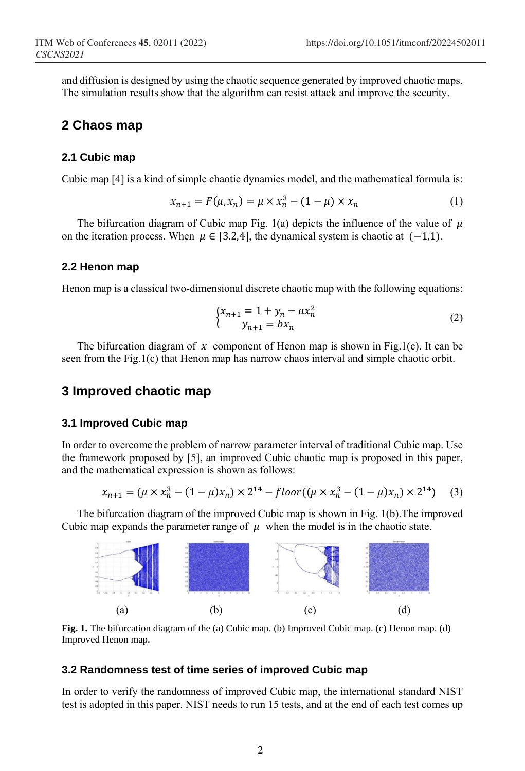and diffusion is designed by using the chaotic sequence generated by improved chaotic maps. The simulation results show that the algorithm can resist attack and improve the security.

### **2 Chaos map**

#### **2.1 Cubic map**

Cubic map [4] is a kind of simple chaotic dynamics model, and the mathematical formula is:

$$
x_{n+1} = F(\mu, x_n) = \mu \times x_n^3 - (1 - \mu) \times x_n \tag{1}
$$

The bifurcation diagram of Cubic map Fig. 1(a) depicts the influence of the value of  $\mu$ on the iteration process. When  $\mu \in [3.2, 4]$ , the dynamical system is chaotic at  $(-1,1)$ .

#### **2.2 Henon map**

Henon map is a classical two-dimensional discrete chaotic map with the following equations:

$$
\begin{cases} x_{n+1} = 1 + y_n - a x_n^2 \\ y_{n+1} = b x_n \end{cases} \tag{2}
$$

The bifurcation diagram of x component of Henon map is shown in Fig.1(c). It can be seen from the Fig.1(c) that Henon map has narrow chaos interval and simple chaotic orbit.

### **3 Improved chaotic map**

#### **3.1 Improved Cubic map**

In order to overcome the problem of narrow parameter interval of traditional Cubic map. Use the framework proposed by [5], an improved Cubic chaotic map is proposed in this paper, and the mathematical expression is shown as follows:

$$
x_{n+1} = (\mu \times x_n^3 - (1 - \mu)x_n) \times 2^{14} - floor((\mu \times x_n^3 - (1 - \mu)x_n) \times 2^{14}) \tag{3}
$$

The bifurcation diagram of the improved Cubic map is shown in Fig. 1(b).The improved Cubic map expands the parameter range of  $\mu$  when the model is in the chaotic state.



**Fig. 1.** The bifurcation diagram of the (a) Cubic map. (b) Improved Cubic map. (c) Henon map. (d) Improved Henon map.

#### **3.2 Randomness test of time series of improved Cubic map**

In order to verify the randomness of improved Cubic map, the international standard NIST test is adopted in this paper. NIST needs to run 15 tests, and at the end of each test comes up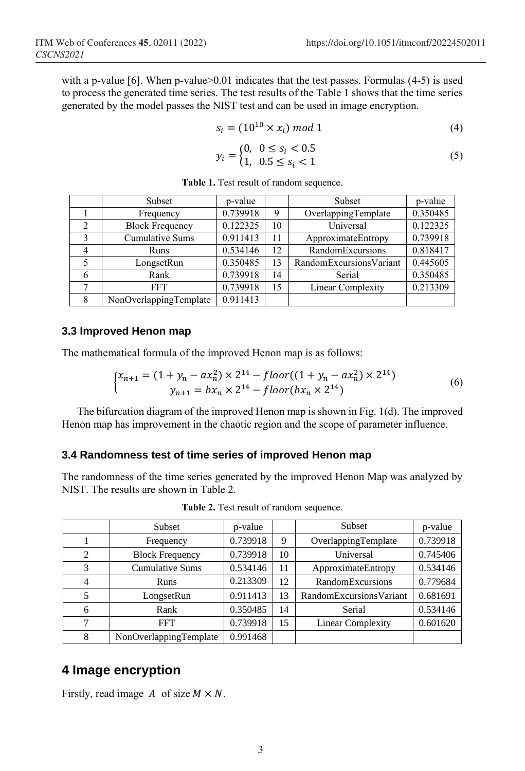with a p-value [6]. When p-value $>0.01$  indicates that the test passes. Formulas (4-5) is used to process the generated time series. The test results of the Table 1 shows that the time series generated by the model passes the NIST test and can be used in image encryption.

$$
s_i = (10^{10} \times x_i) \bmod 1 \tag{4}
$$

$$
y_i = \begin{cases} 0, & 0 \le s_i < 0.5\\ 1, & 0.5 \le s_i < 1 \end{cases}
$$
 (5)

|               | Subset                 | p-value  |    | Subset                  | p-value  |
|---------------|------------------------|----------|----|-------------------------|----------|
|               | Frequency              | 0.739918 | 9  | OverlappingTemplate     | 0.350485 |
| $\mathcal{D}$ | <b>Block Frequency</b> | 0.122325 | 10 | Universal               | 0.122325 |
|               | <b>Cumulative Sums</b> | 0.911413 | 11 | ApproximateEntropy      | 0.739918 |
|               | Runs                   | 0.534146 | 12 | RandomExcursions        | 0.818417 |
|               | LongsetRun             | 0.350485 | 13 | RandomExcursionsVariant | 0.445605 |
| h             | Rank                   | 0.739918 | 14 | Serial                  | 0.350485 |
|               | FFT.                   | 0.739918 | 15 | Linear Complexity       | 0.213309 |
|               | NonOverlappingTemplate | 0.911413 |    |                         |          |

**Table 1.** Test result of random sequence.

#### **3.3 Improved Henon map**

The mathematical formula of the improved Henon map is as follows:

$$
\begin{cases} x_{n+1} = (1 + y_n - a x_n^2) \times 2^{14} - floor((1 + y_n - a x_n^2) \times 2^{14}) \\ y_{n+1} = b x_n \times 2^{14} - floor(b x_n \times 2^{14}) \end{cases} \tag{6}
$$

The bifurcation diagram of the improved Henon map is shown in Fig. 1(d). The improved Henon map has improvement in the chaotic region and the scope of parameter influence.

#### **3.4 Randomness test of time series of improved Henon map**

The randomness of the time series generated by the improved Henon Map was analyzed by NIST. The results are shown in Table 2.

|                | Subset                 | p-value  |    | Subset                   | p-value  |
|----------------|------------------------|----------|----|--------------------------|----------|
|                | Frequency              | 0.739918 | 9  | OverlappingTemplate      | 0.739918 |
| $\overline{c}$ | <b>Block Frequency</b> | 0.739918 | 10 | Universal                | 0.745406 |
| 3              | <b>Cumulative Sums</b> | 0.534146 | 11 | ApproximateEntropy       | 0.534146 |
| 4              | Runs                   | 0.213309 | 12 | <b>RandomExcursions</b>  | 0.779684 |
| 5              | LongsetRun             | 0.911413 | 13 | RandomExcursionsVariant  | 0.681691 |
| 6              | Rank                   | 0.350485 | 14 | Serial                   | 0.534146 |
| ┑              | <b>FFT</b>             | 0.739918 | 15 | <b>Linear Complexity</b> | 0.601620 |
| 8              | NonOverlappingTemplate | 0.991468 |    |                          |          |

**Table 2.** Test result of random sequence.

### **4 Image encryption**

Firstly, read image A of size  $M \times N$ .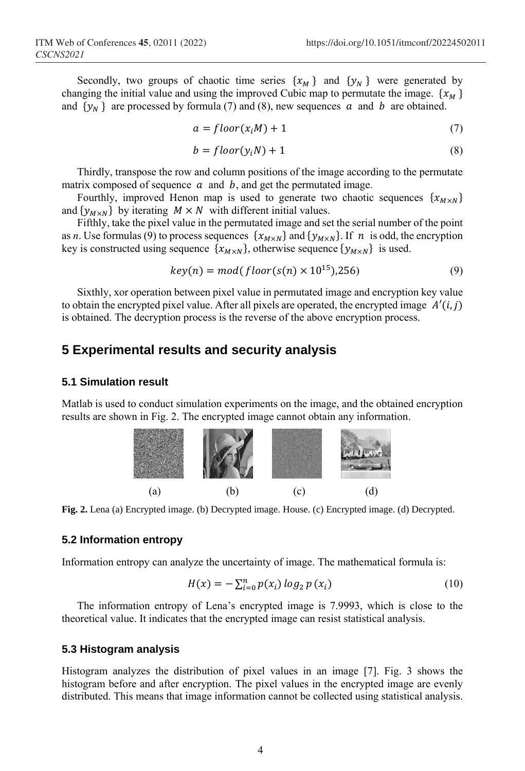Secondly, two groups of chaotic time series  $\{x_M\}$  and  $\{y_N\}$  were generated by changing the initial value and using the improved Cubic map to permutate the image.  $\{x_M\}$ and  $\{y_N\}$  are processed by formula (7) and (8), new sequences  $\alpha$  and  $\beta$  are obtained.

$$
a = floor(x_iM) + 1 \tag{7}
$$

$$
b = floor(y_iN) + 1 \tag{8}
$$

Thirdly, transpose the row and column positions of the image according to the permutate matrix composed of sequence  $\alpha$  and  $\beta$ , and get the permutated image.

Fourthly, improved Henon map is used to generate two chaotic sequences  $\{x_{M \times N}\}\$ and  $\{y_{M\times N}\}\;$  by iterating  $M \times N$  with different initial values.

Fifthly, take the pixel value in the permutated image and set the serial number of the point as *n*. Use formulas (9) to process sequences  $\{x_{M\times N}\}\$  and  $\{y_{M\times N}\}\$ . If  $n$  is odd, the encryption key is constructed using sequence  $\{x_{M\times N}\}\)$ , otherwise sequence  $\{y_{M\times N}\}\)$  is used.

$$
key(n) = mod(floor(s(n) \times 10^{15}), 256)
$$
\n
$$
(9)
$$

Sixthly, xor operation between pixel value in permutated image and encryption key value to obtain the encrypted pixel value. After all pixels are operated, the encrypted image  $A'(i,j)$ is obtained. The decryption process is the reverse of the above encryption process.

### **5 Experimental results and security analysis**

#### **5.1 Simulation result**

Matlab is used to conduct simulation experiments on the image, and the obtained encryption results are shown in Fig. 2. The encrypted image cannot obtain any information.



**Fig. 2.** Lena (a) Encrypted image. (b) Decrypted image. House. (c) Encrypted image. (d) Decrypted.

#### **5.2 Information entropy**

Information entropy can analyze the uncertainty of image. The mathematical formula is:

$$
H(x) = -\sum_{i=0}^{n} p(x_i) \log_2 p(x_i)
$$
 (10)

The information entropy of Lena's encrypted image is 7.9993, which is close to the theoretical value. It indicates that the encrypted image can resist statistical analysis.

#### **5.3 Histogram analysis**

Histogram analyzes the distribution of pixel values in an image [7]. Fig. 3 shows the histogram before and after encryption. The pixel values in the encrypted image are evenly distributed. This means that image information cannot be collected using statistical analysis.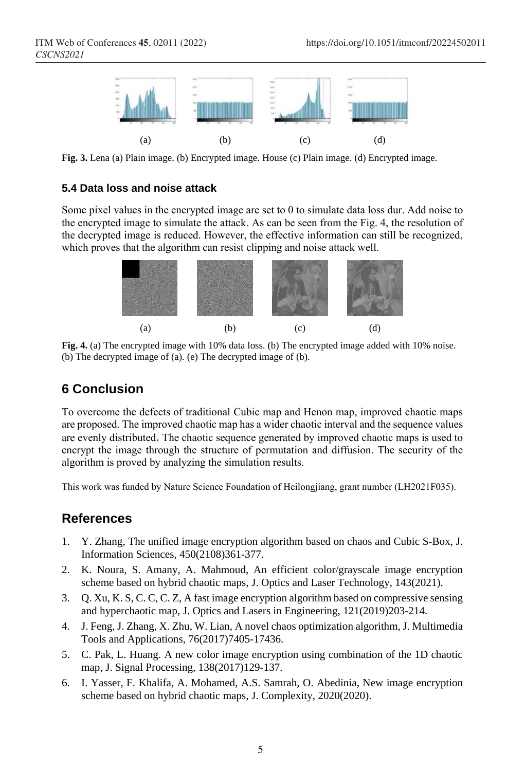

**Fig. 3.** Lena (a) Plain image. (b) Encrypted image. House (c) Plain image. (d) Encrypted image.

#### **5.4 Data loss and noise attack**

Some pixel values in the encrypted image are set to 0 to simulate data loss dur. Add noise to the encrypted image to simulate the attack. As can be seen from the Fig. 4, the resolution of the decrypted image is reduced. However, the effective information can still be recognized, which proves that the algorithm can resist clipping and noise attack well.



**Fig. 4.** (a) The encrypted image with 10% data loss. (b) The encrypted image added with 10% noise. (b) The decrypted image of (a). (e) The decrypted image of (b).

# **6 Conclusion**

To overcome the defects of traditional Cubic map and Henon map, improved chaotic maps are proposed. The improved chaotic map has a wider chaotic interval and the sequence values are evenly distributed. The chaotic sequence generated by improved chaotic maps is used to encrypt the image through the structure of permutation and diffusion. The security of the algorithm is proved by analyzing the simulation results.

This work was funded by Nature Science Foundation of Heilongjiang, grant number (LH2021F035).

## **References**

- 1. Y. Zhang, The unified image encryption algorithm based on chaos and Cubic S-Box, J. Information Sciences, 450(2108)361-377.
- 2. K. Noura, S. Amany, A. Mahmoud, An efficient color/grayscale image encryption scheme based on hybrid chaotic maps, J. Optics and Laser Technology, 143(2021).
- 3. Q. Xu, K. S, C. C, C. Z, A fast image encryption algorithm based on compressive sensing and hyperchaotic map, J. Optics and Lasers in Engineering, 121(2019)203-214.
- 4. J. Feng, J. Zhang, X. Zhu, W. Lian, A novel chaos optimization algorithm, J. Multimedia Tools and Applications, 76(2017)7405-17436.
- 5. C. Pak, L. Huang. A new color image encryption using combination of the 1D chaotic map, J. Signal Processing, 138(2017)129-137.
- 6. I. Yasser, F. Khalifa, A. Mohamed, A.S. Samrah, O. Abedinia, New image encryption scheme based on hybrid chaotic maps, J. Complexity, 2020(2020).